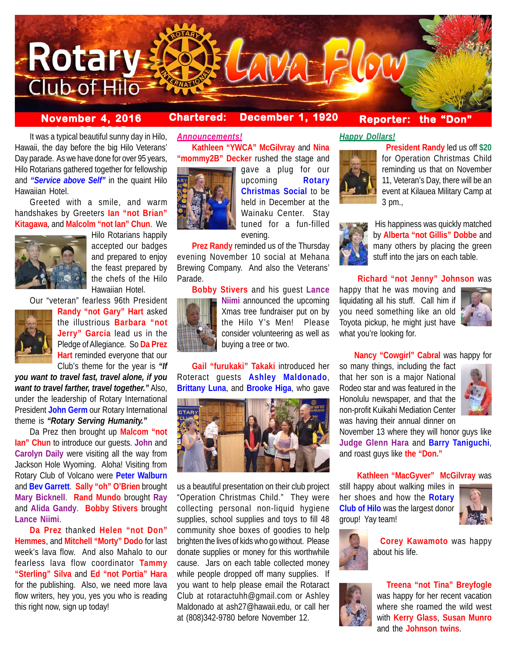

# **November 4, 2016 Chartered: December 1, 1920**

## **Reporter: the "Don"**

**It was a typical beautiful sunny day in Hilo,** Hawaii, the day before the big Hilo Veterans' Day parade. As we have done for over 95 years, Hilo Rotarians gathered together for fellowship and *"Service above Self"* in the quaint Hilo Hawaiian Hotel.

Greeted with a smile, and warm handshakes by Greeters **Ian "not Brian" Kitagawa**, and **Malcolm "not Ian" Chun**. We



Hilo Rotarians happily accepted our badges and prepared to enjoy the feast prepared by the chefs of the Hilo Hawaiian Hotel.

Our "veteran" fearless 96th President



**Randy "not Gary" Hart** asked the illustrious **Barbara "not Jerry" Garcia** lead us in the Pledge of Allegiance. So **Da Prez Hart** reminded everyone that our Club's theme for the year is *"If*

*you want to travel fast, travel alone, if you want to travel farther, travel together."* Also, under the leadership of Rotary International President **John Germ** our Rotary International theme is *"Rotary Serving Humanity."*

Da Prez then brought up **Malcom "not Ian" Chun** to introduce our guests. **John** and **Carolyn Daily** were visiting all the way from Jackson Hole Wyoming. Aloha! Visiting from Rotary Club of Volcano were **Peter Walburn** and **Bev Garrett**. **Sally "oh" O'Brien** brought **Mary Bicknell**. **Rand Mundo** brought **Ray** and **Alida Gandy**. **Bobby Stivers** brought **Lance Niimi**.

**Da Prez** thanked **Helen "not Don" Hemmes**, and **Mitchell "Morty" Dodo** for last week's lava flow. And also Mahalo to our fearless lava flow coordinator **Tammy "Sterling" Silva** and **Ed "not Portia" Hara** for the publishing. Also, we need more lava flow writers, hey you, yes you who is reading this right now, sign up today!

# *Announcements!*

**Kathleen "YWCA" McGilvray** and **Nina "mommy2B" Decker** rushed the stage and



gave a plug for our upcoming **Rotary Christmas Social** to be held in December at the Wainaku Center. Stay tuned for a fun-filled evening.

**Prez Randy** reminded us of the Thursday evening November 10 social at Mehana Brewing Company. And also the Veterans' Parade.

**Bobby Stivers** and his guest **Lance Niimi** announced the upcoming Xmas tree fundraiser put on by the Hilo Y's Men! Please consider volunteering as well as buying a tree or two.

**Gail "furukaki" Takaki** introduced her Roteract guests **Ashley Maldonado**, **Brittany Luna**, and **Brooke Higa**, who gave



us a beautiful presentation on their club project "Operation Christmas Child." They were collecting personal non-liquid hygiene supplies, school supplies and toys to fill 48 community shoe boxes of goodies to help brighten the lives of kids who go without. Please donate supplies or money for this worthwhile cause. Jars on each table collected money while people dropped off many supplies. If you want to help please email the Rotaract Club at rotaractuhh@gmail.com or Ashley Maldonado at ash27@hawaii.edu, or call her at (808)342-9780 before November 12.

## *Happy Dollars!*



 **President Randy** led us off **\$20** for Operation Christmas Child reminding us that on November 11, Veteran's Day, there will be an event at Kilauea Military Camp at 3 pm.,



 His happiness was quickly matched by **Alberta "not Gillis" Dobbe** and many others by placing the green stuff into the jars on each table.

## **Richard "not Jenny" Johnson** was

happy that he was moving and liquidating all his stuff. Call him if you need something like an old Toyota pickup, he might just have what you're looking for.



**Nancy "Cowgirl" Cabral** was happy for

so many things, including the fact that her son is a major National Rodeo star and was featured in the Honolulu newspaper, and that the non-profit Kuikahi Mediation Center was having their annual dinner on



November 13 where they will honor guys like **Judge Glenn Hara** and **Barry Taniguchi**, and roast guys like **the "Don."**

## **Kathleen "MacGyver" McGilvray** was

still happy about walking miles in her shoes and how the **Rotary Club of Hilo** was the largest donor group! Yay team!





 **Corey Kawamoto** was happy about his life.



 **Treena "not Tina" Breyfogle** was happy for her recent vacation where she roamed the wild west with **Kerry Glass**, **Susan Munro** and the **Johnson twins**.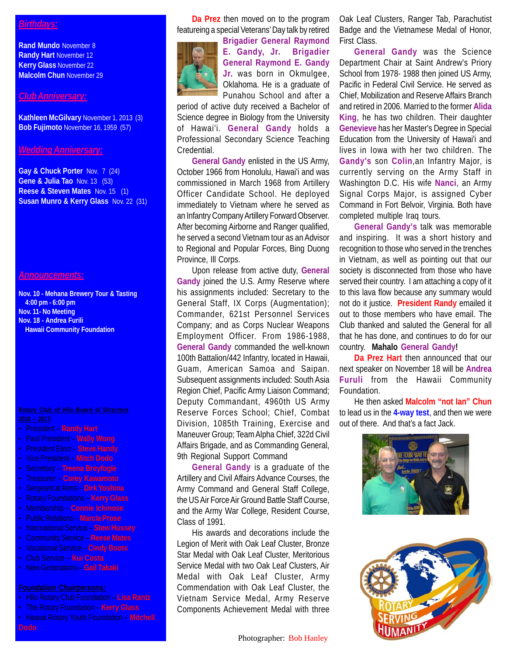## *Birthdays:*

**Rand Mundo** November 8 **Randy Hart** November 12 **Kerry Glass** November 22 **Malcolm Chun** November 29

## *Club Anniversary:*

**Kathleen McGilvary** November 1, 2013 (3) **Bob Fujimoto** November 16, 1959 (57)

### *Wedding Anniversary:*

**Gay & Chuck Porter** Nov. 7 (24) **Gene & Julia Tao** Nov. 13 (53) **Reese & Steven Mates** Nov. 15 (1) **Susan Munro & Kerry Glass** Nov. 22 (31)

## *Announcements:*

**Nov. 10 - Mehana Brewery Tour & Tasting 4:00 pm - 6:00 pm Nov. 11- No Meeting Nov. 18 - Andrea Furili Hawaii Community Foundation**

- President **Randy Hart**
- Past President **Wally Wong**
- President Elect **Steve Handy**
- Vice President **Mitch Dodo**
- Secretary **Treena Breyfogle**
- Treasurer **Corey Kawamoto**
- Sergeant at Arms **Dirk Yoshina**
- Rotary Foundations **Kerry Glass**
- Membership **Connie Ichinose**
- Public Relations **Marcia Prose**
- International Service **Stew Hussey**
- Community Service **Reese Mates**
- Vocational Service **Cindy Boots**
- Club Service **Kui Costa**
- New Generations **Gail Takaki**

- Hilo Rotary Club Foundation **Lisa Rantz**
- The Rotary Foundation **Kerry Glass**
- Hawaii Rotary Youth Foundation **Mitchell**

**Da Prez** then moved on to the program featureing a special Veterans' Day talk by retired



**Brigadier General Raymond E. Gandy, Jr. Brigadier General Raymond E. Gandy Jr.** was born in Okmulgee, Oklahoma. He is a graduate of Punahou School and after a

period of active duty received a Bachelor of Science degree in Biology from the University of Hawai'i. **General Gandy** holds a Professional Secondary Science Teaching Credential.

**General Gandy** enlisted in the US Army, October 1966 from Honolulu, Hawai'i and was commissioned in March 1968 from Artillery Officer Candidate School. He deployed immediately to Vietnam where he served as an Infantry Company Artillery Forward Observer. After becoming Airborne and Ranger qualified, he served a second Vietnam tour as an Advisor to Regional and Popular Forces, Bing Duong Province, Ill Corps.

Upon release from active duty, **General Gandy** joined the U.S. Army Reserve where his assignments included: Secretary to the General Staff, IX Corps (Augmentation); Commander, 621st Personnel Services Company; and as Corps Nuclear Weapons Employment Officer. From 1986-1988, **General Gandy** commanded the well-known 100th Battalion/442 Infantry, located in Hawaii, Guam, American Samoa and Saipan. Subsequent assignments included: South Asia Region Chief, Pacific Army Liaison Command; Deputy Commandant, 4960th US Army Reserve Forces School; Chief, Combat Division, 1085th Training, Exercise and Maneuver Group; Team Alpha Chief, 322d Civil Affairs Brigade, and as Commanding General, 9th Regional Support Command

**General Gandy** is a graduate of the Artillery and Civil Affairs Advance Courses, the Army Command and General Staff College, the US Air Force Air Ground Battle Staff Course, and the Army War College, Resident Course, Class of 1991.

His awards and decorations include the Legion of Merit with Oak Leaf Cluster, Bronze Star Medal with Oak Leaf Cluster, Meritorious Service Medal with two Oak Leaf Clusters, Air Medal with Oak Leaf Cluster, Army Commendation with Oak Leaf Cluster, the Vietnam Service Medal, Army Reserve Components Achievement Medal with three

Photographer: Bob Hanley

Oak Leaf Clusters, Ranger Tab, Parachutist Badge and the Vietnamese Medal of Honor, First Class.

**General Gandy** was the Science Department Chair at Saint Andrew's Priory School from 1978- 1988 then joined US Army, Pacific in Federal Civil Service. He served as Chief, Mobilization and Reserve Affairs Branch and retired in 2006. Married to the former **Alida King**, he has two children. Their daughter **Genevieve** has her Master's Degree in Special Education from the University of Hawai'i and lives in Iowa with her two children. The **Gandy's** son **Colin**,an Infantry Major, is currently serving on the Army Staff in Washington D.C. His wife **Nanci**, an Army Signal Corps Major, is assigned Cyber Command in Fort Belvoir, Virginia. Both have completed multiple Iraq tours.

**General Gandy's** talk was memorable and inspiring. It was a short history and recognition to those who served in the trenches in Vietnam, as well as pointing out that our society is disconnected from those who have served their country. I am attaching a copy of it to this lava flow because any summary would not do it justice. **President Randy** emailed it out to those members who have email. The Club thanked and saluted the General for all that he has done, and continues to do for our country. **Mahalo General Gandy!**

**Da Prez Hart** then announced that our next speaker on November 18 will be **Andrea Furuli** from the Hawaii Community Foundation.

He then asked **Malcolm "not Ian" Chun** to lead us in the **4-way test**, and then we were out of there. And that's a fact Jack.



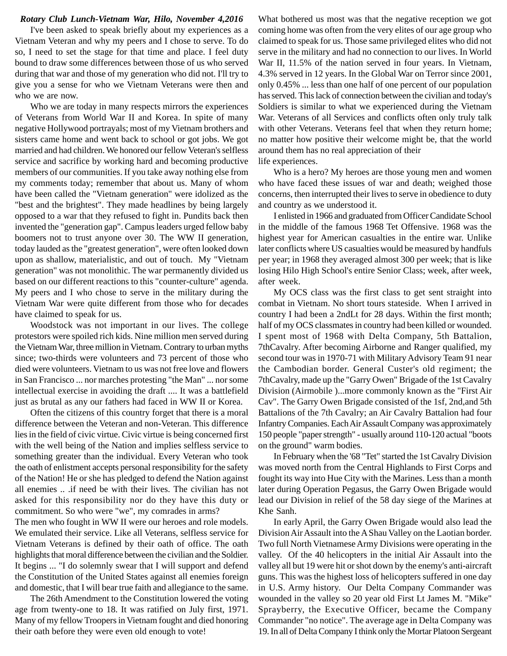#### *Rotary Club Lunch-Vietnam War, Hilo, November 4,2016*

I've been asked to speak briefly about my experiences as a Vietnam Veteran and why my peers and I chose to serve. To do so, I need to set the stage for that time and place. I feel duty bound to draw some differences between those of us who served during that war and those of my generation who did not. I'll try to give you a sense for who we Vietnam Veterans were then and who we are now.

Who we are today in many respects mirrors the experiences of Veterans from World War II and Korea. In spite of many negative Hollywood portrayals; most of my Vietnam brothers and sisters came home and went back to school or got jobs. We got married and had children. We honored our fellow Veteran's selfless service and sacrifice by working hard and becoming productive members of our communities. If you take away nothing else from my comments today; remember that about us. Many of whom have been called the "Vietnam generation" were idolized as the "best and the brightest". They made headlines by being largely opposed to a war that they refused to fight in. Pundits back then invented the "generation gap". Campus leaders urged fellow baby boomers not to trust anyone over 30. The WW II generation, today lauded as the "greatest generation", were often looked down upon as shallow, materialistic, and out of touch. My "Vietnam generation" was not monolithic. The war permanently divided us based on our different reactions to this "counter-culture" agenda. My peers and I who chose to serve in the military during the Vietnam War were quite different from those who for decades have claimed to speak for us.

Woodstock was not important in our lives. The college protestors were spoiled rich kids. Nine million men served during the Vietnam War, three million in Vietnam. Contrary to urban myths since; two-thirds were volunteers and 73 percent of those who died were volunteers. Vietnam to us was not free love and flowers in San Francisco ... nor marches protesting "the Man" ... nor some intellectual exercise in avoiding the draft .... It was a battlefield just as brutal as any our fathers had faced in WW II or Korea.

Often the citizens of this country forget that there is a moral difference between the Veteran and non-Veteran. This difference lies in the field of civic virtue. Civic virtue is being concerned first with the well being of the Nation and implies selfless service to something greater than the individual. Every Veteran who took the oath of enlistment accepts personal responsibility for the safety of the Nation! He or she has pledged to defend the Nation against all enemies .. .if need be with their lives. The civilian has not asked for this responsibility nor do they have this duty or commitment. So who were "we", my comrades in arms?

The men who fought in WW II were our heroes and role models. We emulated their service. Like all Veterans, selfless service for Vietnam Veterans is defined by their oath of office. The oath highlights that moral difference between the civilian and the Soldier. It begins ... "I do solemnly swear that I will support and defend the Constitution of the United States against all enemies foreign and domestic, that I will bear true faith and allegiance to the same.

The 26th Amendment to the Constitution lowered the voting age from twenty-one to 18. It was ratified on July first, 1971. Many of my fellow Troopers in Vietnam fought and died honoring their oath before they were even old enough to vote!

What bothered us most was that the negative reception we got coming home was often from the very elites of our age group who claimed to speak for us. Those same privileged elites who did not serve in the military and had no connection to our lives. In World War II, 11.5% of the nation served in four years. In Vietnam, 4.3% served in 12 years. In the Global War on Terror since 2001, only 0.45% ... less than one half of one percent of our population has served. This lack of connection between the civilian and today's Soldiers is similar to what we experienced during the Vietnam War. Veterans of all Services and conflicts often only truly talk with other Veterans. Veterans feel that when they return home; no matter how positive their welcome might be, that the world around them has no real appreciation of their life experiences.

Who is a hero? My heroes are those young men and women who have faced these issues of war and death; weighed those concerns, then interrupted their lives to serve in obedience to duty and country as we understood it.

I enlisted in 1966 and graduated from Officer Candidate School in the middle of the famous 1968 Tet Offensive. 1968 was the highest year for American casualties in the entire war. Unlike later conflicts where US casualties would be measured by handfuls per year; in 1968 they averaged almost 300 per week; that is like losing Hilo High School's entire Senior Class; week, after week, after week.

My OCS class was the first class to get sent straight into combat in Vietnam. No short tours stateside. When I arrived in country I had been a 2ndLt for 28 days. Within the first month; half of my OCS classmates in country had been killed or wounded. I spent most of 1968 with Delta Company, 5th Battalion, 7thCavalry. After becoming Airborne and Ranger qualified, my second tour was in 1970-71 with Military Advisory Team 91 near the Cambodian border. General Custer's old regiment; the 7thCavalry, made up the "Garry Owen" Brigade of the 1st Cavalry Division (Airmobile )...more commonly known as the "First Air Cav". The Garry Owen Brigade consisted of the 1sf, 2nd,and 5th Battalions of the 7th Cavalry; an Air Cavalry Battalion had four Infantry Companies. Each Air Assault Company was approximately 150 people "paper strength" - usually around 110-120 actual "boots on the ground" warm bodies.

In February when the '68 "Tet" started the 1st Cavalry Division was moved north from the Central Highlands to First Corps and fought its way into Hue City with the Marines. Less than a month later during Operation Pegasus, the Garry Owen Brigade would lead our Division in relief of the 58 day siege of the Marines at Khe Sanh.

In early April, the Garry Owen Brigade would also lead the Division Air Assault into the A Shau Valley on the Laotian border. Two full North Vietnamese Army Divisions were operating in the valley. Of the 40 helicopters in the initial Air Assault into the valley all but 19 were hit or shot down by the enemy's anti-aircraft guns. This was the highest loss of helicopters suffered in one day in U.S. Army history. Our Delta Company Commander was wounded in the valley so 20 year old First Lt James M. "Mike" Sprayberry, the Executive Officer, became the Company Commander "no notice". The average age in Delta Company was 19. In all of Delta Company I think only the Mortar Platoon Sergeant